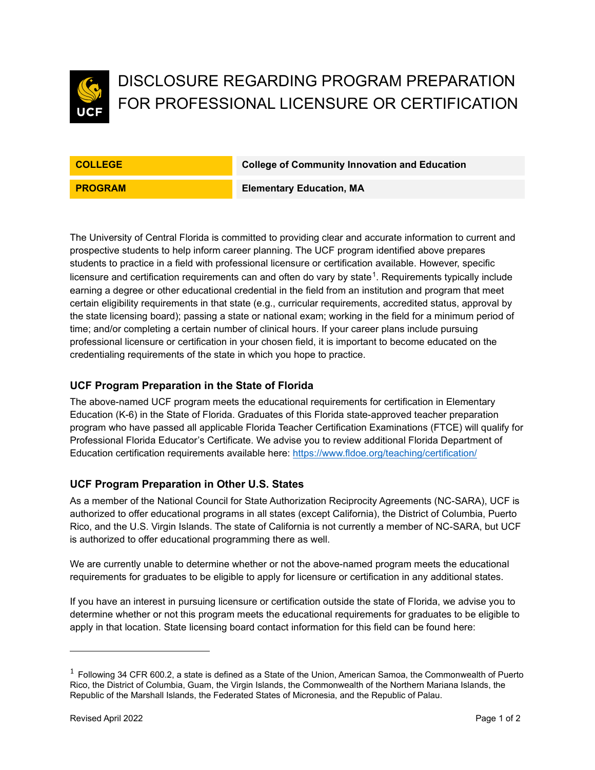

# DISCLOSURE REGARDING PROGRAM PREPARATION FOR PROFESSIONAL LICENSURE OR CERTIFICATION

**COLLEGE College of Community Innovation and Education**

**PROGRAM Elementary Education, MA** 

The University of Central Florida is committed to providing clear and accurate information to current and prospective students to help inform career planning. The UCF program identified above prepares students to practice in a field with professional licensure or certification available. However, specific licensure and certification requirements can and often do vary by state $^1$  $^1$ . Requirements typically include earning a degree or other educational credential in the field from an institution and program that meet certain eligibility requirements in that state (e.g., curricular requirements, accredited status, approval by the state licensing board); passing a state or national exam; working in the field for a minimum period of time; and/or completing a certain number of clinical hours. If your career plans include pursuing professional licensure or certification in your chosen field, it is important to become educated on the credentialing requirements of the state in which you hope to practice.

### **UCF Program Preparation in the State of Florida**

The above-named UCF program meets the educational requirements for certification in Elementary Education (K-6) in the State of Florida. Graduates of this Florida state-approved teacher preparation program who have passed all applicable Florida Teacher Certification Examinations (FTCE) will qualify for Professional Florida Educator's Certificate. We advise you to review additional Florida Department of Education certification requirements available here:<https://www.fldoe.org/teaching/certification/>

### **UCF Program Preparation in Other U.S. States**

As a member of the National Council for State Authorization Reciprocity Agreements (NC-SARA), UCF is authorized to offer educational programs in all states (except California), the District of Columbia, Puerto Rico, and the U.S. Virgin Islands. The state of California is not currently a member of NC-SARA, but UCF is authorized to offer educational programming there as well.

We are currently unable to determine whether or not the above-named program meets the educational requirements for graduates to be eligible to apply for licensure or certification in any additional states.

If you have an interest in pursuing licensure or certification outside the state of Florida, we advise you to determine whether or not this program meets the educational requirements for graduates to be eligible to apply in that location. State licensing board contact information for this field can be found here:

<span id="page-0-0"></span> $1$  Following 34 CFR 600.2, a state is defined as a State of the Union, American Samoa, the Commonwealth of Puerto Rico, the District of Columbia, Guam, the Virgin Islands, the Commonwealth of the Northern Mariana Islands, the Republic of the Marshall Islands, the Federated States of Micronesia, and the Republic of Palau.